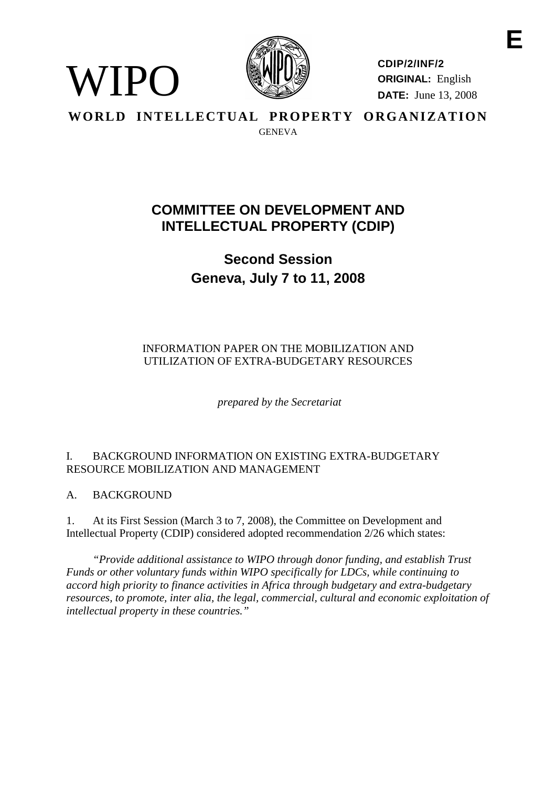

**CDIP/2/INF/2 ORIGINAL:** English **DATE:** June 13, 2008

**WORLD INTELLECTUAL PROPERTY ORGANIZATION** GENEVA

# **COMMITTEE ON DEVELOPMENT AND INTELLECTUAL PROPERTY (CDIP)**

**Second Session Geneva, July 7 to 11, 2008**

# INFORMATION PAPER ON THE MOBILIZATION AND UTILIZATION OF EXTRA-BUDGETARY RESOURCES

*prepared by the Secretariat*

# I. BACKGROUND INFORMATION ON EXISTING EXTRA-BUDGETARY RESOURCE MOBILIZATION AND MANAGEMENT

A. BACKGROUND

WIPO

1. At its First Session (March 3 to 7, 2008), the Committee on Development and Intellectual Property (CDIP) considered adopted recommendation 2/26 which states:

*"Provide additional assistance to WIPO through donor funding, and establish Trust Funds or other voluntary funds within WIPO specifically for LDCs, while continuing to accord high priority to finance activities in Africa through budgetary and extra-budgetary resources, to promote, inter alia, the legal, commercial, cultural and economic exploitation of intellectual property in these countries."*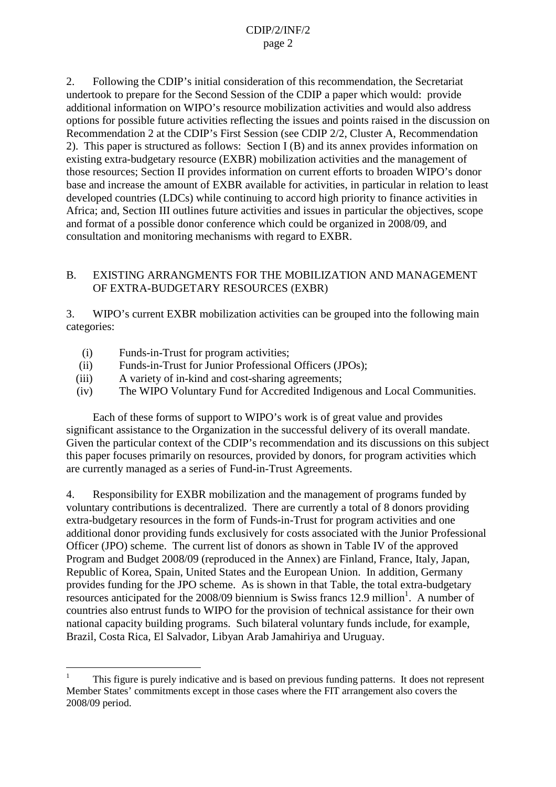2. Following the CDIP's initial consideration of this recommendation, the Secretariat undertook to prepare for the Second Session of the CDIP a paper which would: provide additional information on WIPO's resource mobilization activities and would also address options for possible future activities reflecting the issues and points raised in the discussion on Recommendation 2 at the CDIP's First Session (see CDIP 2/2, Cluster A, Recommendation 2). This paper is structured as follows: Section I (B) and its annex provides information on existing extra-budgetary resource (EXBR) mobilization activities and the management of those resources; Section II provides information on current efforts to broaden WIPO's donor base and increase the amount of EXBR available for activities, in particular in relation to least developed countries (LDCs) while continuing to accord high priority to finance activities in Africa; and, Section III outlines future activities and issues in particular the objectives, scope and format of a possible donor conference which could be organized in 2008/09, and consultation and monitoring mechanisms with regard to EXBR.

### B. EXISTING ARRANGMENTS FOR THE MOBILIZATION AND MANAGEMENT OF EXTRA-BUDGETARY RESOURCES (EXBR)

3. WIPO's current EXBR mobilization activities can be grouped into the following main categories:

- (i) Funds-in-Trust for program activities;
- (ii) Funds-in-Trust for Junior Professional Officers (JPOs);
- (iii) A variety of in-kind and cost-sharing agreements;
- (iv) The WIPO Voluntary Fund for Accredited Indigenous and Local Communities.

Each of these forms of support to WIPO's work is of great value and provides significant assistance to the Organization in the successful delivery of its overall mandate. Given the particular context of the CDIP's recommendation and its discussions on this subject this paper focuses primarily on resources, provided by donors, for program activities which are currently managed as a series of Fund-in-Trust Agreements.

4. Responsibility for EXBR mobilization and the management of programs funded by voluntary contributions is decentralized. There are currently a total of 8 donors providing extra-budgetary resources in the form of Funds-in-Trust for program activities and one additional donor providing funds exclusively for costs associated with the Junior Professional Officer (JPO) scheme. The current list of donors as shown in Table IV of the approved Program and Budget 2008/09 (reproduced in the Annex) are Finland, France, Italy, Japan, Republic of Korea, Spain, United States and the European Union. In addition, Germany provides funding for the JPO scheme. As is shown in that Table, the total extra-budgetary resources anticipated for the 2008/09 biennium is Swiss francs 12.9 million<sup>1</sup>. A number of countries also entrust funds to WIPO for the provision of technical assistance for their own national capacity building programs. Such bilateral voluntary funds include, for example, Brazil, Costa Rica, El Salvador, Libyan Arab Jamahiriya and Uruguay.

<sup>1</sup> This figure is purely indicative and is based on previous funding patterns. It does not represent Member States' commitments except in those cases where the FIT arrangement also covers the 2008/09 period.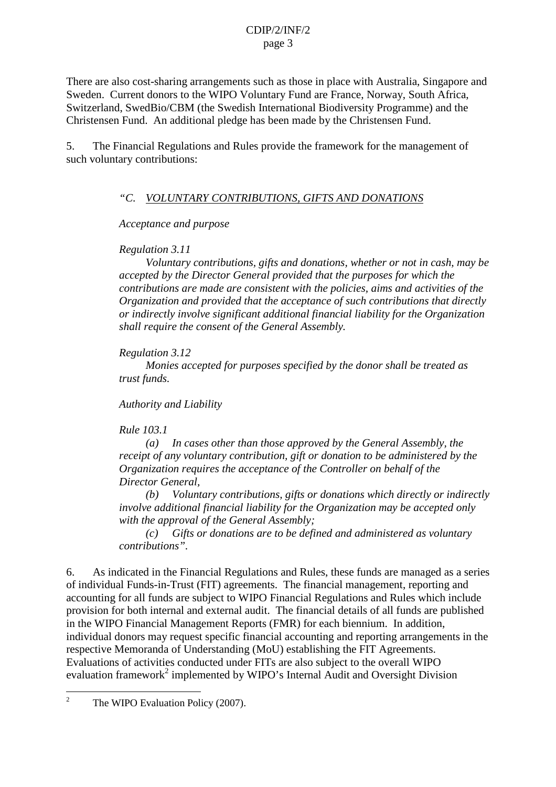There are also cost-sharing arrangements such as those in place with Australia, Singapore and Sweden. Current donors to the WIPO Voluntary Fund are France, Norway, South Africa, Switzerland, SwedBio/CBM (the Swedish International Biodiversity Programme) and the Christensen Fund. An additional pledge has been made by the Christensen Fund.

5. The Financial Regulations and Rules provide the framework for the management of such voluntary contributions:

#### *"C. VOLUNTARY CONTRIBUTIONS, GIFTS AND DONATIONS*

*Acceptance and purpose*

*Regulation 3.11*

*Voluntary contributions, gifts and donations, whether or not in cash, may be accepted by the Director General provided that the purposes for which the contributions are made are consistent with the policies, aims and activities of the Organization and provided that the acceptance of such contributions that directly or indirectly involve significant additional financial liability for the Organization shall require the consent of the General Assembly.*

*Regulation 3.12*

*Monies accepted for purposes specified by the donor shall be treated as trust funds.*

*Authority and Liability*

*Rule 103.1*

*(a) In cases other than those approved by the General Assembly, the receipt of any voluntary contribution, gift or donation to be administered by the Organization requires the acceptance of the Controller on behalf of the Director General,*

*(b) Voluntary contributions, gifts or donations which directly or indirectly involve additional financial liability for the Organization may be accepted only with the approval of the General Assembly;*

*(c) Gifts or donations are to be defined and administered as voluntary contributions".* 

6. As indicated in the Financial Regulations and Rules, these funds are managed as a series of individual Funds-in-Trust (FIT) agreements. The financial management, reporting and accounting for all funds are subject to WIPO Financial Regulations and Rules which include provision for both internal and external audit. The financial details of all funds are published in the WIPO Financial Management Reports (FMR) for each biennium. In addition, individual donors may request specific financial accounting and reporting arrangements in the respective Memoranda of Understanding (MoU) establishing the FIT Agreements. Evaluations of activities conducted under FITs are also subject to the overall WIPO evaluation framework<sup>2</sup> implemented by WIPO's Internal Audit and Oversight Division

<sup>&</sup>lt;sup>2</sup> The WIPO Evaluation Policy (2007).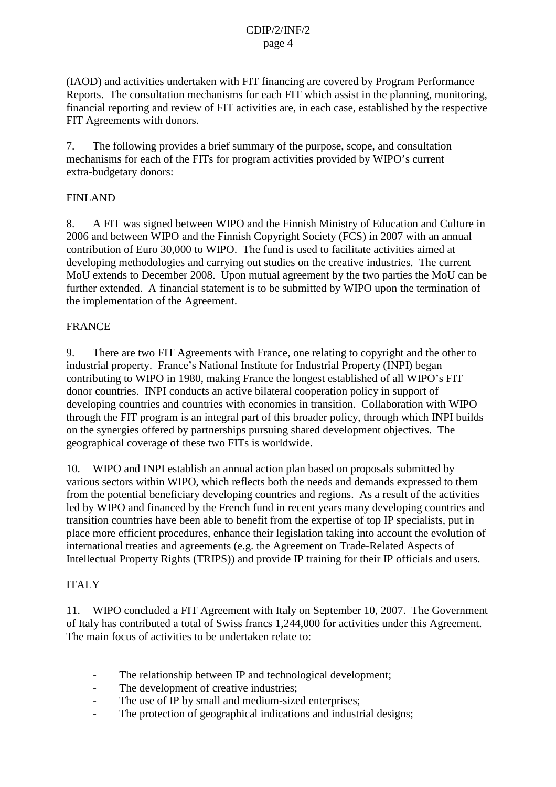(IAOD) and activities undertaken with FIT financing are covered by Program Performance Reports. The consultation mechanisms for each FIT which assist in the planning, monitoring, financial reporting and review of FIT activities are, in each case, established by the respective FIT Agreements with donors.

7. The following provides a brief summary of the purpose, scope, and consultation mechanisms for each of the FITs for program activities provided by WIPO's current extra-budgetary donors:

#### FINLAND

8. A FIT was signed between WIPO and the Finnish Ministry of Education and Culture in 2006 and between WIPO and the Finnish Copyright Society (FCS) in 2007 with an annual contribution of Euro 30,000 to WIPO. The fund is used to facilitate activities aimed at developing methodologies and carrying out studies on the creative industries. The current MoU extends to December 2008. Upon mutual agreement by the two parties the MoU can be further extended. A financial statement is to be submitted by WIPO upon the termination of the implementation of the Agreement.

#### FRANCE

9. There are two FIT Agreements with France, one relating to copyright and the other to industrial property. France's National Institute for Industrial Property (INPI) began contributing to WIPO in 1980, making France the longest established of all WIPO's FIT donor countries. INPI conducts an active bilateral cooperation policy in support of developing countries and countries with economies in transition. Collaboration with WIPO through the FIT program is an integral part of this broader policy, through which INPI builds on the synergies offered by partnerships pursuing shared development objectives. The geographical coverage of these two FITs is worldwide.

10. WIPO and INPI establish an annual action plan based on proposals submitted by various sectors within WIPO, which reflects both the needs and demands expressed to them from the potential beneficiary developing countries and regions. As a result of the activities led by WIPO and financed by the French fund in recent years many developing countries and transition countries have been able to benefit from the expertise of top IP specialists, put in place more efficient procedures, enhance their legislation taking into account the evolution of international treaties and agreements (e.g. the Agreement on Trade-Related Aspects of Intellectual Property Rights (TRIPS)) and provide IP training for their IP officials and users.

#### ITALY

11. WIPO concluded a FIT Agreement with Italy on September 10, 2007. The Government of Italy has contributed a total of Swiss francs 1,244,000 for activities under this Agreement. The main focus of activities to be undertaken relate to:

- The relationship between IP and technological development;
- The development of creative industries;
- The use of IP by small and medium-sized enterprises:
- The protection of geographical indications and industrial designs;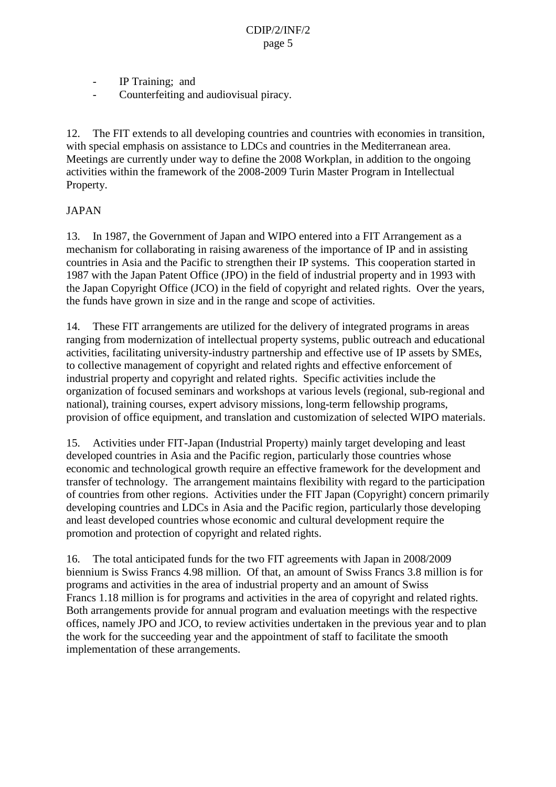- IP Training; and
- Counterfeiting and audiovisual piracy.

12. The FIT extends to all developing countries and countries with economies in transition, with special emphasis on assistance to LDCs and countries in the Mediterranean area. Meetings are currently under way to define the 2008 Workplan, in addition to the ongoing activities within the framework of the 2008-2009 Turin Master Program in Intellectual Property.

# JAPAN

13. In 1987, the Government of Japan and WIPO entered into a FIT Arrangement as a mechanism for collaborating in raising awareness of the importance of IP and in assisting countries in Asia and the Pacific to strengthen their IP systems. This cooperation started in 1987 with the Japan Patent Office (JPO) in the field of industrial property and in 1993 with the Japan Copyright Office (JCO) in the field of copyright and related rights. Over the years, the funds have grown in size and in the range and scope of activities.

14. These FIT arrangements are utilized for the delivery of integrated programs in areas ranging from modernization of intellectual property systems, public outreach and educational activities, facilitating university-industry partnership and effective use of IP assets by SMEs, to collective management of copyright and related rights and effective enforcement of industrial property and copyright and related rights. Specific activities include the organization of focused seminars and workshops at various levels (regional, sub-regional and national), training courses, expert advisory missions, long-term fellowship programs, provision of office equipment, and translation and customization of selected WIPO materials.

15. Activities under FIT-Japan (Industrial Property) mainly target developing and least developed countries in Asia and the Pacific region, particularly those countries whose economic and technological growth require an effective framework for the development and transfer of technology. The arrangement maintains flexibility with regard to the participation of countries from other regions. Activities under the FIT Japan (Copyright) concern primarily developing countries and LDCs in Asia and the Pacific region, particularly those developing and least developed countries whose economic and cultural development require the promotion and protection of copyright and related rights.

16. The total anticipated funds for the two FIT agreements with Japan in 2008/2009 biennium is Swiss Francs 4.98 million. Of that, an amount of Swiss Francs 3.8 million is for programs and activities in the area of industrial property and an amount of Swiss Francs 1.18 million is for programs and activities in the area of copyright and related rights. Both arrangements provide for annual program and evaluation meetings with the respective offices, namely JPO and JCO, to review activities undertaken in the previous year and to plan the work for the succeeding year and the appointment of staff to facilitate the smooth implementation of these arrangements.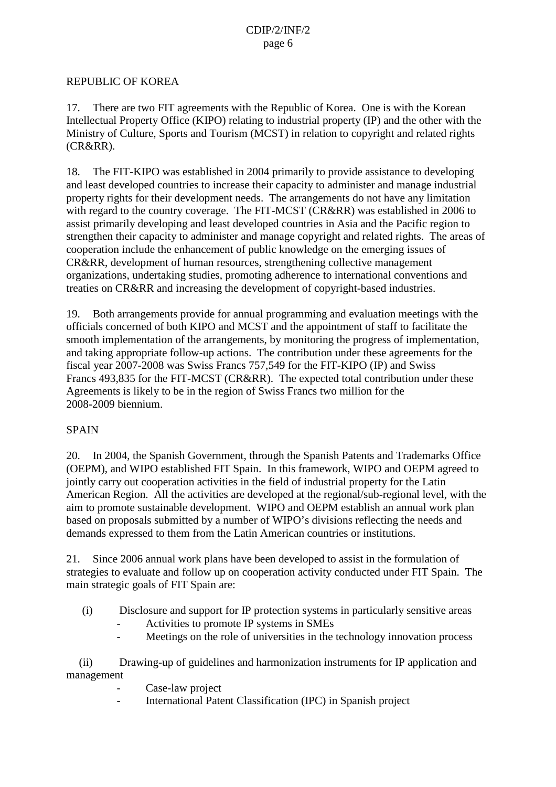#### REPUBLIC OF KOREA

17. There are two FIT agreements with the Republic of Korea. One is with the Korean Intellectual Property Office (KIPO) relating to industrial property (IP) and the other with the Ministry of Culture, Sports and Tourism (MCST) in relation to copyright and related rights (CR&RR).

18. The FIT-KIPO was established in 2004 primarily to provide assistance to developing and least developed countries to increase their capacity to administer and manage industrial property rights for their development needs. The arrangements do not have any limitation with regard to the country coverage. The FIT-MCST (CR&RR) was established in 2006 to assist primarily developing and least developed countries in Asia and the Pacific region to strengthen their capacity to administer and manage copyright and related rights. The areas of cooperation include the enhancement of public knowledge on the emerging issues of CR&RR, development of human resources, strengthening collective management organizations, undertaking studies, promoting adherence to international conventions and treaties on CR&RR and increasing the development of copyright-based industries.

19. Both arrangements provide for annual programming and evaluation meetings with the officials concerned of both KIPO and MCST and the appointment of staff to facilitate the smooth implementation of the arrangements, by monitoring the progress of implementation, and taking appropriate follow-up actions. The contribution under these agreements for the fiscal year 2007-2008 was Swiss Francs 757,549 for the FIT-KIPO (IP) and Swiss Francs 493,835 for the FIT-MCST (CR&RR). The expected total contribution under these Agreements is likely to be in the region of Swiss Francs two million for the 2008-2009 biennium.

#### SPAIN

20. In 2004, the Spanish Government, through the Spanish Patents and Trademarks Office (OEPM), and WIPO established FIT Spain. In this framework, WIPO and OEPM agreed to jointly carry out cooperation activities in the field of industrial property for the Latin American Region. All the activities are developed at the regional/sub-regional level, with the aim to promote sustainable development. WIPO and OEPM establish an annual work plan based on proposals submitted by a number of WIPO's divisions reflecting the needs and demands expressed to them from the Latin American countries or institutions*.*

21. Since 2006 annual work plans have been developed to assist in the formulation of strategies to evaluate and follow up on cooperation activity conducted under FIT Spain. The main strategic goals of FIT Spain are:

- (i) Disclosure and support for IP protection systems in particularly sensitive areas
	- Activities to promote IP systems in SMEs
	- Meetings on the role of universities in the technology innovation process

(ii) Drawing-up of guidelines and harmonization instruments for IP application and management

- Case-law project
- International Patent Classification (IPC) in Spanish project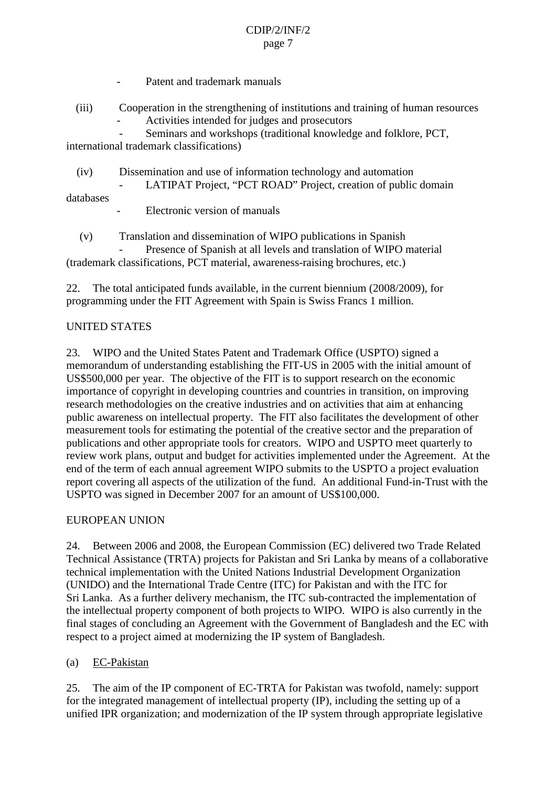- Patent and trademark manuals
- (iii) Cooperation in the strengthening of institutions and training of human resources - Activities intended for judges and prosecutors

Seminars and workshops (traditional knowledge and folklore, PCT, international trademark classifications)

(iv) Dissemination and use of information technology and automation LATIPAT Project, "PCT ROAD" Project, creation of public domain databases

Electronic version of manuals

(v) Translation and dissemination of WIPO publications in Spanish Presence of Spanish at all levels and translation of WIPO material (trademark classifications, PCT material, awareness-raising brochures, etc.)

22. The total anticipated funds available, in the current biennium (2008/2009), for programming under the FIT Agreement with Spain is Swiss Francs 1 million.

# UNITED STATES

23. WIPO and the United States Patent and Trademark Office (USPTO) signed a memorandum of understanding establishing the FIT-US in 2005 with the initial amount of US\$500,000 per year. The objective of the FIT is to support research on the economic importance of copyright in developing countries and countries in transition, on improving research methodologies on the creative industries and on activities that aim at enhancing public awareness on intellectual property. The FIT also facilitates the development of other measurement tools for estimating the potential of the creative sector and the preparation of publications and other appropriate tools for creators. WIPO and USPTO meet quarterly to review work plans, output and budget for activities implemented under the Agreement. At the end of the term of each annual agreement WIPO submits to the USPTO a project evaluation report covering all aspects of the utilization of the fund. An additional Fund-in-Trust with the USPTO was signed in December 2007 for an amount of US\$100,000.

# EUROPEAN UNION

24. Between 2006 and 2008, the European Commission (EC) delivered two Trade Related Technical Assistance (TRTA) projects for Pakistan and Sri Lanka by means of a collaborative technical implementation with the United Nations Industrial Development Organization (UNIDO) and the International Trade Centre (ITC) for Pakistan and with the ITC for Sri Lanka. As a further delivery mechanism, the ITC sub-contracted the implementation of the intellectual property component of both projects to WIPO. WIPO is also currently in the final stages of concluding an Agreement with the Government of Bangladesh and the EC with respect to a project aimed at modernizing the IP system of Bangladesh.

# (a) EC-Pakistan

25. The aim of the IP component of EC-TRTA for Pakistan was twofold, namely: support for the integrated management of intellectual property (IP), including the setting up of a unified IPR organization; and modernization of the IP system through appropriate legislative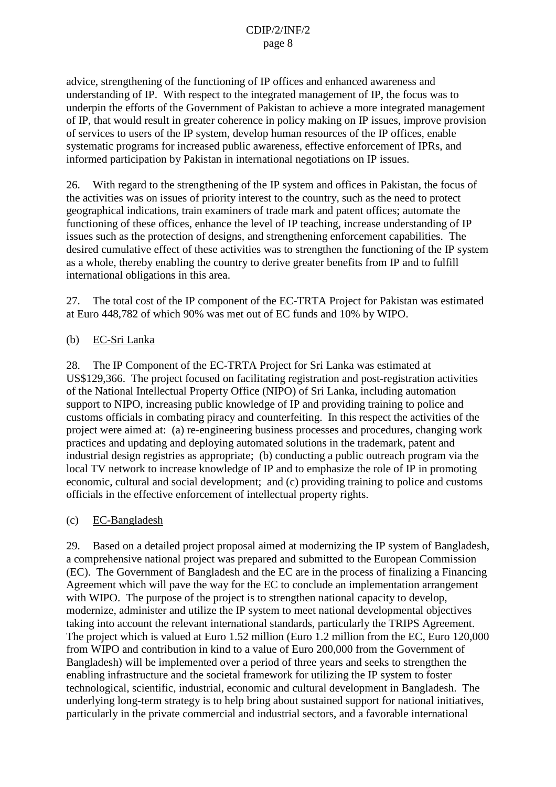advice, strengthening of the functioning of IP offices and enhanced awareness and understanding of IP. With respect to the integrated management of IP, the focus was to underpin the efforts of the Government of Pakistan to achieve a more integrated management of IP, that would result in greater coherence in policy making on IP issues, improve provision of services to users of the IP system, develop human resources of the IP offices, enable systematic programs for increased public awareness, effective enforcement of IPRs, and informed participation by Pakistan in international negotiations on IP issues.

26. With regard to the strengthening of the IP system and offices in Pakistan, the focus of the activities was on issues of priority interest to the country, such as the need to protect geographical indications, train examiners of trade mark and patent offices; automate the functioning of these offices, enhance the level of IP teaching, increase understanding of IP issues such as the protection of designs, and strengthening enforcement capabilities. The desired cumulative effect of these activities was to strengthen the functioning of the IP system as a whole, thereby enabling the country to derive greater benefits from IP and to fulfill international obligations in this area.

27. The total cost of the IP component of the EC-TRTA Project for Pakistan was estimated at Euro 448,782 of which 90% was met out of EC funds and 10% by WIPO.

#### (b) EC-Sri Lanka

28. The IP Component of the EC-TRTA Project for Sri Lanka was estimated at US\$129,366. The project focused on facilitating registration and post-registration activities of the National Intellectual Property Office (NIPO) of Sri Lanka, including automation support to NIPO, increasing public knowledge of IP and providing training to police and customs officials in combating piracy and counterfeiting. In this respect the activities of the project were aimed at: (a) re-engineering business processes and procedures, changing work practices and updating and deploying automated solutions in the trademark, patent and industrial design registries as appropriate; (b) conducting a public outreach program via the local TV network to increase knowledge of IP and to emphasize the role of IP in promoting economic, cultural and social development; and (c) providing training to police and customs officials in the effective enforcement of intellectual property rights.

# (c) EC-Bangladesh

29. Based on a detailed project proposal aimed at modernizing the IP system of Bangladesh, a comprehensive national project was prepared and submitted to the European Commission (EC). The Government of Bangladesh and the EC are in the process of finalizing a Financing Agreement which will pave the way for the EC to conclude an implementation arrangement with WIPO. The purpose of the project is to strengthen national capacity to develop, modernize, administer and utilize the IP system to meet national developmental objectives taking into account the relevant international standards, particularly the TRIPS Agreement. The project which is valued at Euro 1.52 million (Euro 1.2 million from the EC, Euro 120,000 from WIPO and contribution in kind to a value of Euro 200,000 from the Government of Bangladesh) will be implemented over a period of three years and seeks to strengthen the enabling infrastructure and the societal framework for utilizing the IP system to foster technological, scientific, industrial, economic and cultural development in Bangladesh. The underlying long-term strategy is to help bring about sustained support for national initiatives, particularly in the private commercial and industrial sectors, and a favorable international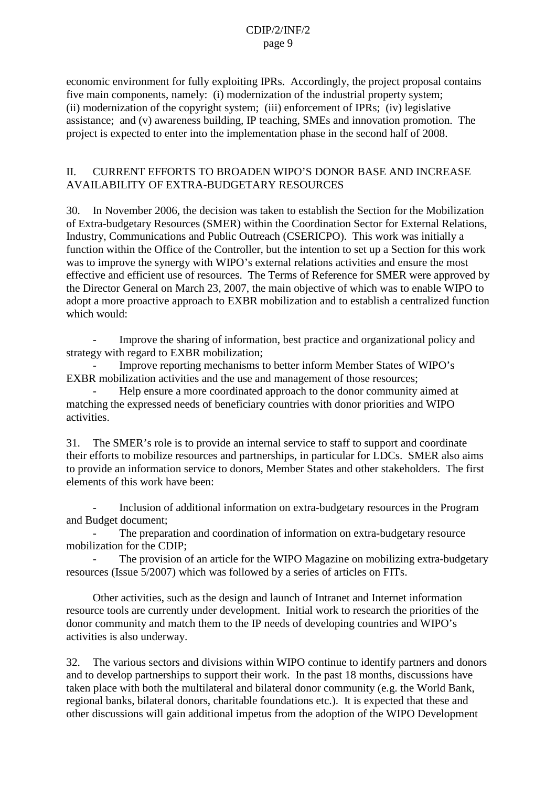economic environment for fully exploiting IPRs. Accordingly, the project proposal contains five main components, namely: (i) modernization of the industrial property system; (ii) modernization of the copyright system; (iii) enforcement of IPRs; (iv) legislative assistance; and (v) awareness building, IP teaching, SMEs and innovation promotion. The project is expected to enter into the implementation phase in the second half of 2008.

#### II. CURRENT EFFORTS TO BROADEN WIPO'S DONOR BASE AND INCREASE AVAILABILITY OF EXTRA-BUDGETARY RESOURCES

30. In November 2006, the decision was taken to establish the Section for the Mobilization of Extra-budgetary Resources (SMER) within the Coordination Sector for External Relations, Industry, Communications and Public Outreach (CSERICPO). This work was initially a function within the Office of the Controller, but the intention to set up a Section for this work was to improve the synergy with WIPO's external relations activities and ensure the most effective and efficient use of resources. The Terms of Reference for SMER were approved by the Director General on March 23, 2007, the main objective of which was to enable WIPO to adopt a more proactive approach to EXBR mobilization and to establish a centralized function which would:

Improve the sharing of information, best practice and organizational policy and strategy with regard to EXBR mobilization;

- Improve reporting mechanisms to better inform Member States of WIPO's EXBR mobilization activities and the use and management of those resources;

- Help ensure a more coordinated approach to the donor community aimed at matching the expressed needs of beneficiary countries with donor priorities and WIPO activities.

31. The SMER's role is to provide an internal service to staff to support and coordinate their efforts to mobilize resources and partnerships, in particular for LDCs. SMER also aims to provide an information service to donors, Member States and other stakeholders. The first elements of this work have been:

- Inclusion of additional information on extra-budgetary resources in the Program and Budget document;

The preparation and coordination of information on extra-budgetary resource mobilization for the CDIP;

The provision of an article for the WIPO Magazine on mobilizing extra-budgetary resources (Issue 5/2007) which was followed by a series of articles on FITs.

Other activities, such as the design and launch of Intranet and Internet information resource tools are currently under development. Initial work to research the priorities of the donor community and match them to the IP needs of developing countries and WIPO's activities is also underway.

32. The various sectors and divisions within WIPO continue to identify partners and donors and to develop partnerships to support their work. In the past 18 months, discussions have taken place with both the multilateral and bilateral donor community (e.g. the World Bank, regional banks, bilateral donors, charitable foundations etc.). It is expected that these and other discussions will gain additional impetus from the adoption of the WIPO Development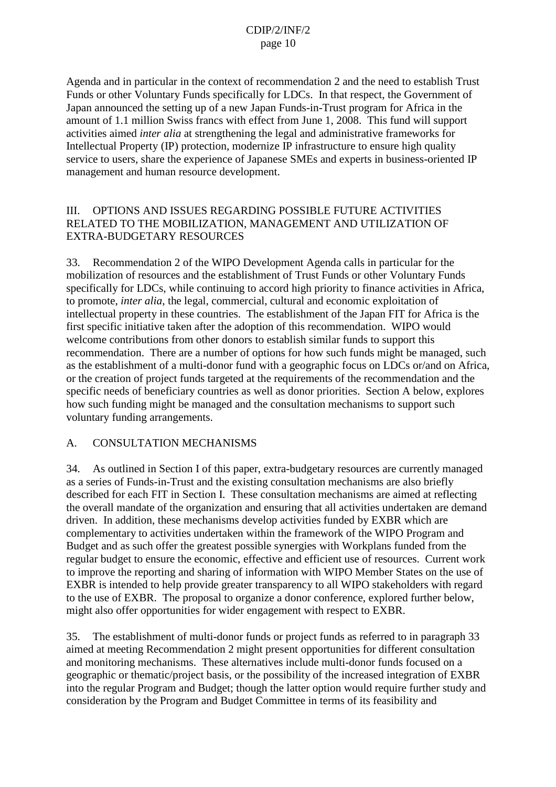Agenda and in particular in the context of recommendation 2 and the need to establish Trust Funds or other Voluntary Funds specifically for LDCs. In that respect, the Government of Japan announced the setting up of a new Japan Funds-in-Trust program for Africa in the amount of 1.1 million Swiss francs with effect from June 1, 2008. This fund will support activities aimed *inter alia* at strengthening the legal and administrative frameworks for Intellectual Property (IP) protection, modernize IP infrastructure to ensure high quality service to users, share the experience of Japanese SMEs and experts in business-oriented IP management and human resource development.

# III. OPTIONS AND ISSUES REGARDING POSSIBLE FUTURE ACTIVITIES RELATED TO THE MOBILIZATION, MANAGEMENT AND UTILIZATION OF EXTRA-BUDGETARY RESOURCES

33. Recommendation 2 of the WIPO Development Agenda calls in particular for the mobilization of resources and the establishment of Trust Funds or other Voluntary Funds specifically for LDCs, while continuing to accord high priority to finance activities in Africa, to promote, *inter alia*, the legal, commercial, cultural and economic exploitation of intellectual property in these countries. The establishment of the Japan FIT for Africa is the first specific initiative taken after the adoption of this recommendation. WIPO would welcome contributions from other donors to establish similar funds to support this recommendation. There are a number of options for how such funds might be managed, such as the establishment of a multi-donor fund with a geographic focus on LDCs or/and on Africa, or the creation of project funds targeted at the requirements of the recommendation and the specific needs of beneficiary countries as well as donor priorities. Section A below, explores how such funding might be managed and the consultation mechanisms to support such voluntary funding arrangements.

# A. CONSULTATION MECHANISMS

34. As outlined in Section I of this paper, extra-budgetary resources are currently managed as a series of Funds-in-Trust and the existing consultation mechanisms are also briefly described for each FIT in Section I. These consultation mechanisms are aimed at reflecting the overall mandate of the organization and ensuring that all activities undertaken are demand driven. In addition, these mechanisms develop activities funded by EXBR which are complementary to activities undertaken within the framework of the WIPO Program and Budget and as such offer the greatest possible synergies with Workplans funded from the regular budget to ensure the economic, effective and efficient use of resources. Current work to improve the reporting and sharing of information with WIPO Member States on the use of EXBR is intended to help provide greater transparency to all WIPO stakeholders with regard to the use of EXBR. The proposal to organize a donor conference, explored further below, might also offer opportunities for wider engagement with respect to EXBR.

35. The establishment of multi-donor funds or project funds as referred to in paragraph 33 aimed at meeting Recommendation 2 might present opportunities for different consultation and monitoring mechanisms. These alternatives include multi-donor funds focused on a geographic or thematic/project basis, or the possibility of the increased integration of EXBR into the regular Program and Budget; though the latter option would require further study and consideration by the Program and Budget Committee in terms of its feasibility and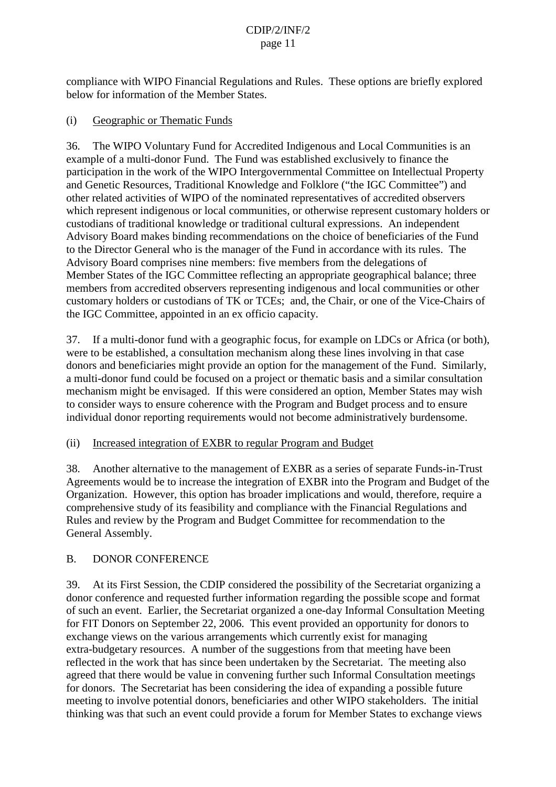compliance with WIPO Financial Regulations and Rules. These options are briefly explored below for information of the Member States.

# (i) Geographic or Thematic Funds

36. The WIPO Voluntary Fund for Accredited Indigenous and Local Communities is an example of a multi-donor Fund. The Fund was established exclusively to finance the participation in the work of the WIPO Intergovernmental Committee on Intellectual Property and Genetic Resources, Traditional Knowledge and Folklore ("the IGC Committee") and other related activities of WIPO of the nominated representatives of accredited observers which represent indigenous or local communities, or otherwise represent customary holders or custodians of traditional knowledge or traditional cultural expressions. An independent Advisory Board makes binding recommendations on the choice of beneficiaries of the Fund to the Director General who is the manager of the Fund in accordance with its rules. The Advisory Board comprises nine members: five members from the delegations of Member States of the IGC Committee reflecting an appropriate geographical balance; three members from accredited observers representing indigenous and local communities or other customary holders or custodians of TK or TCEs; and, the Chair, or one of the Vice-Chairs of the IGC Committee, appointed in an ex officio capacity.

37. If a multi-donor fund with a geographic focus, for example on LDCs or Africa (or both), were to be established, a consultation mechanism along these lines involving in that case donors and beneficiaries might provide an option for the management of the Fund. Similarly, a multi-donor fund could be focused on a project or thematic basis and a similar consultation mechanism might be envisaged. If this were considered an option, Member States may wish to consider ways to ensure coherence with the Program and Budget process and to ensure individual donor reporting requirements would not become administratively burdensome.

# (ii) Increased integration of EXBR to regular Program and Budget

38. Another alternative to the management of EXBR as a series of separate Funds-in-Trust Agreements would be to increase the integration of EXBR into the Program and Budget of the Organization. However, this option has broader implications and would, therefore, require a comprehensive study of its feasibility and compliance with the Financial Regulations and Rules and review by the Program and Budget Committee for recommendation to the General Assembly.

# B. DONOR CONFERENCE

39. At its First Session, the CDIP considered the possibility of the Secretariat organizing a donor conference and requested further information regarding the possible scope and format of such an event. Earlier, the Secretariat organized a one-day Informal Consultation Meeting for FIT Donors on September 22, 2006. This event provided an opportunity for donors to exchange views on the various arrangements which currently exist for managing extra-budgetary resources. A number of the suggestions from that meeting have been reflected in the work that has since been undertaken by the Secretariat. The meeting also agreed that there would be value in convening further such Informal Consultation meetings for donors. The Secretariat has been considering the idea of expanding a possible future meeting to involve potential donors, beneficiaries and other WIPO stakeholders. The initial thinking was that such an event could provide a forum for Member States to exchange views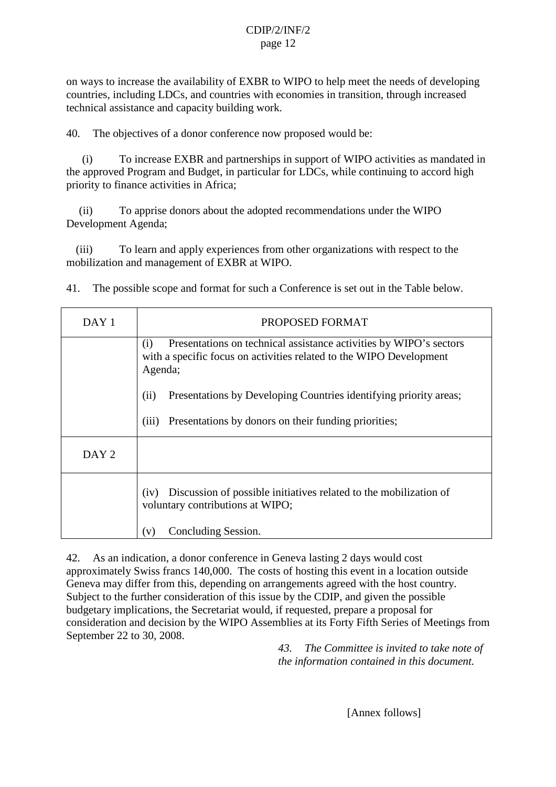on ways to increase the availability of EXBR to WIPO to help meet the needs of developing countries, including LDCs, and countries with economies in transition, through increased technical assistance and capacity building work.

40. The objectives of a donor conference now proposed would be:

(i) To increase EXBR and partnerships in support of WIPO activities as mandated in the approved Program and Budget, in particular for LDCs, while continuing to accord high priority to finance activities in Africa;

(ii) To apprise donors about the adopted recommendations under the WIPO Development Agenda;

(iii) To learn and apply experiences from other organizations with respect to the mobilization and management of EXBR at WIPO.

41. The possible scope and format for such a Conference is set out in the Table below.

| DAY 1            | PROPOSED FORMAT                                                                                                                                             |  |  |
|------------------|-------------------------------------------------------------------------------------------------------------------------------------------------------------|--|--|
|                  | Presentations on technical assistance activities by WIPO's sectors<br>(i)<br>with a specific focus on activities related to the WIPO Development<br>Agenda; |  |  |
|                  | (ii)<br>Presentations by Developing Countries identifying priority areas;                                                                                   |  |  |
|                  | Presentations by donors on their funding priorities;<br>(iii)                                                                                               |  |  |
| DAY <sub>2</sub> |                                                                                                                                                             |  |  |
|                  | Discussion of possible initiatives related to the mobilization of<br>(iv)<br>voluntary contributions at WIPO;                                               |  |  |
|                  | Concluding Session.<br>(v)                                                                                                                                  |  |  |

42. As an indication, a donor conference in Geneva lasting 2 days would cost approximately Swiss francs 140,000. The costs of hosting this event in a location outside Geneva may differ from this, depending on arrangements agreed with the host country. Subject to the further consideration of this issue by the CDIP, and given the possible budgetary implications, the Secretariat would, if requested, prepare a proposal for consideration and decision by the WIPO Assemblies at its Forty Fifth Series of Meetings from September 22 to 30, 2008.

*43. The Committee is invited to take note of the information contained in this document.*

[Annex follows]